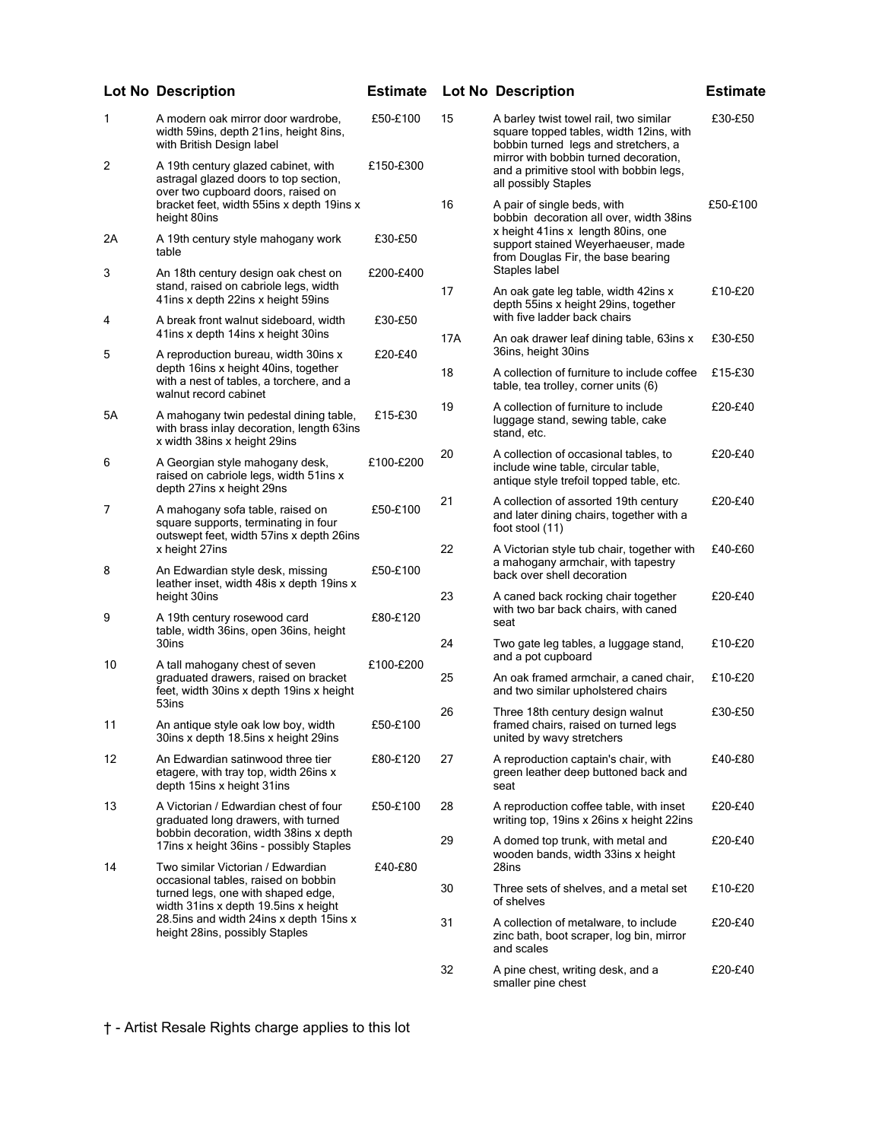|    | Lot No Description                                                                                                                                           | <b>Estimate</b> | Lot No I |              |
|----|--------------------------------------------------------------------------------------------------------------------------------------------------------------|-----------------|----------|--------------|
| 1  | A modern oak mirror door wardrobe,<br>width 59ins, depth 21ins, height 8ins,<br>with British Design label                                                    | £50-£100        | 15       | А<br>s<br>b  |
| 2  | A 19th century glazed cabinet, with<br>astragal glazed doors to top section,<br>over two cupboard doors, raised on                                           | £150-£300       |          | n<br>a<br>а  |
|    | bracket feet, width 55ins x depth 19ins x<br>height 80ins                                                                                                    |                 | 16       | А<br>b       |
| 2A | A 19th century style mahogany work<br>table                                                                                                                  | £30-£50         |          | X<br>s<br>fr |
| 3  | An 18th century design oak chest on<br>stand, raised on cabriole legs, width<br>41ins x depth 22ins x height 59ins                                           | £200-£400       | 17       | S<br>А<br>d  |
| 4  | A break front walnut sideboard, width<br>41ins x depth 14ins x height 30ins                                                                                  | £30-£50         | 17A      | W<br>А       |
| 5  | A reproduction bureau, width 30ins x<br>depth 16ins x height 40ins, together<br>with a nest of tables, a torchere, and a<br>walnut record cabinet            | £20-£40         | 18       | 3<br>А<br>t  |
| 5A | A mahogany twin pedestal dining table,<br>with brass inlay decoration, length 63ins<br>x width 38ins x height 29ins                                          | £15-£30         | 19       | А<br>Iι<br>s |
| 6  | A Georgian style mahogany desk,<br>raised on cabriole legs, width 51ins x<br>depth 27ins x height 29ns                                                       | £100-£200       | 20       | А<br>ir<br>a |
| 7  | A mahogany sofa table, raised on<br>square supports, terminating in four<br>outswept feet, width 57ins x depth 26ins                                         | £50-£100        | 21       | А<br>а<br>fo |
| 8  | x height 27ins                                                                                                                                               | £50-£100        | 22       | А<br>a       |
|    | An Edwardian style desk, missing<br>leather inset, width 48 is x depth 19 ins x<br>height 30ins                                                              |                 | 23       | b<br>А       |
| 9  | A 19th century rosewood card<br>table, width 36ins, open 36ins, height<br>30ins                                                                              | £80-£120        | 24       | W<br>s<br>Τ  |
| 10 | A tall mahogany chest of seven                                                                                                                               | £100-£200       |          | a            |
|    | graduated drawers, raised on bracket<br>feet, width 30ins x depth 19ins x height<br>53ins                                                                    |                 | 25       | А<br>a       |
| 11 | An antique style oak low boy, width<br>30ins x depth 18.5ins x height 29ins                                                                                  | £50-£100        | 26       | Т<br>fr<br>u |
| 12 | An Edwardian satinwood three tier<br>etagere, with tray top, width 26ins x<br>depth 15ins x height 31ins                                                     | £80-£120        | 27       | А<br>g<br>s  |
| 13 | A Victorian / Edwardian chest of four<br>graduated long drawers, with turned<br>bobbin decoration, width 38ins x depth                                       | £50-£100        | 28<br>29 | А<br>W<br>А  |
|    | 17ins x height 36ins - possibly Staples<br>Two similar Victorian / Edwardian                                                                                 | £40-£80         |          | W            |
| 14 | occasional tables, raised on bobbin<br>turned legs, one with shaped edge,<br>width 31ins x depth 19.5ins x height<br>28.5ins and width 24ins x depth 15ins x |                 | 30       | 2<br>Τ<br>о  |
|    |                                                                                                                                                              |                 | 31       | А            |
|    | height 28ins, possibly Staples                                                                                                                               |                 |          | z<br>a       |
|    |                                                                                                                                                              |                 |          |              |

## If barley twist towel rail, two similar quare topped tables, width 12ins, with obbin turned legs and stretchers, a mirror with bobbin turned decoration, and a primitive stool with bobbin legs, all possibly Staples £30-£50  $\alpha$  pair of single beds, with bobbin decoration all over, width 38ins height 41ins x length 80ins, one upport stained Weyerhaeuser, made rom Douglas Fir, the base bearing Staples label £50-£100 17 An oak gate leg table, width 42ins x lepth 55ins x height 29ins, together with five ladder back chairs £10-£20 17A An oak drawer leaf dining table, 63ins x 36ins, height 30ins £30-£50  $\alpha$  collection of furniture to include coffee able, tea trolley, corner units (6) £15-£30 A collection of furniture to include luggage stand, sewing table, cake stand, etc. £20-£40 collection of occasional tables, to nclude wine table, circular table, antique style trefoil topped table, etc. £20-£40 1 collection of assorted 19th century and later dining chairs, together with a oot stool (11) £20-£40 **Victorian style tub chair, together with** mahogany armchair, with tapestry ack over shell decoration £40-£60 **Lot No Description Estimate Lot No Description Estimate**

- 1 caned back rocking chair together with two bar back chairs, with caned eat £20-£40
- wo gate leg tables, a luggage stand, and a pot cupboard £10-£20 25 An oak framed armchair, a caned chair, £10-£20
- and two similar upholstered chairs hree 18th century design walnut ramed chairs, raised on turned legs united by wavy stretchers £30-£50
- **A** reproduction captain's chair, with reen leather deep buttoned back and eat £40-£80 I reproduction coffee table, with inset writing top, 19ins x 26ins x height 22ins £20-£40  $\lambda$  domed top trunk, with metal and wooden bands, width 33ins x height 28ins £20-£40
- Three sets of shelves, and a metal set of shelves £10-£20
- b collection of metalware, to include inc bath, boot scraper, log bin, mirror and scales £20-£40
- 32 A pine chest, writing desk, and a smaller pine chest £20-£40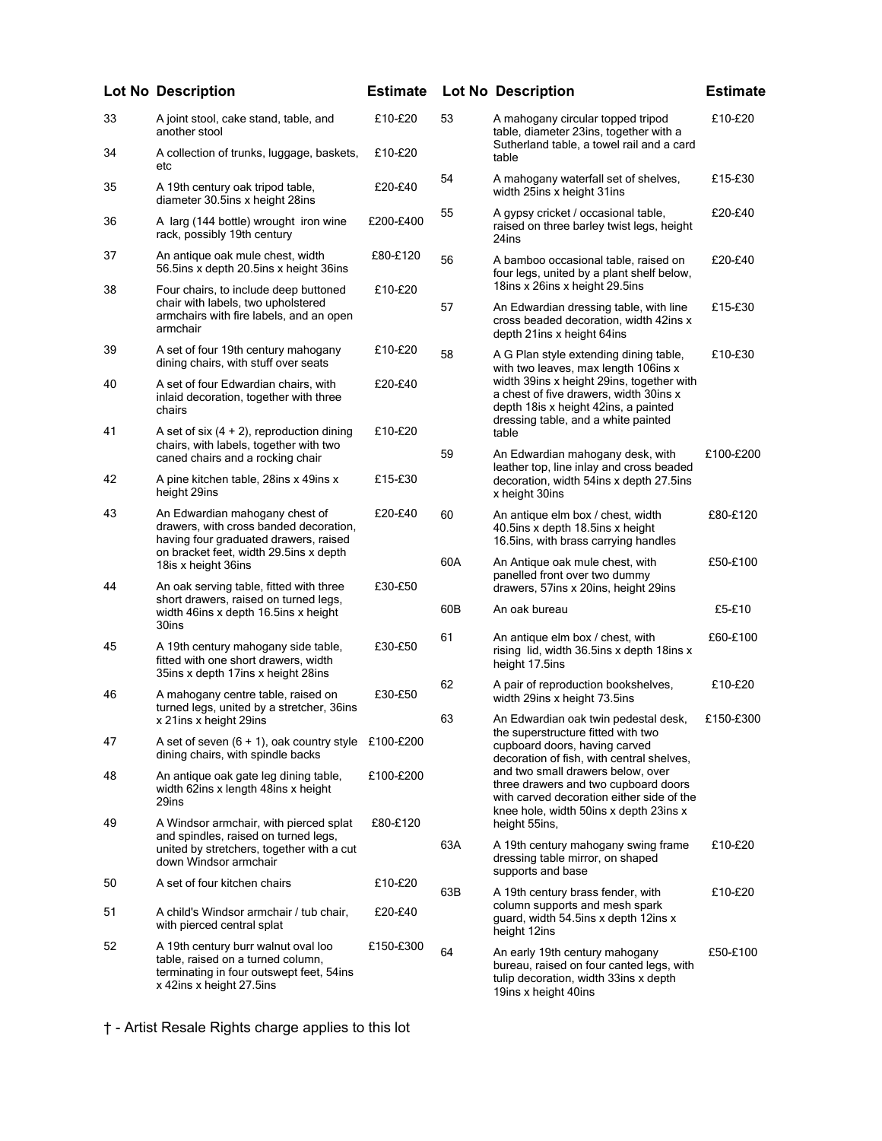|    | <b>Lot No Description</b>                                                                                                                                   | <b>Estimate</b> |     | <b>Lot No Description</b>                                                                                                                                          | <b>Estimate</b> |                                                                                                                                                                  |  |
|----|-------------------------------------------------------------------------------------------------------------------------------------------------------------|-----------------|-----|--------------------------------------------------------------------------------------------------------------------------------------------------------------------|-----------------|------------------------------------------------------------------------------------------------------------------------------------------------------------------|--|
| 33 | A joint stool, cake stand, table, and<br>another stool                                                                                                      | £10-£20         | 53  | A mahogany circular topped tripod<br>table, diameter 23ins, together with a                                                                                        | £10-£20         |                                                                                                                                                                  |  |
| 34 | A collection of trunks, luggage, baskets,<br>etc                                                                                                            | £10-£20         |     | Sutherland table, a towel rail and a card<br>table                                                                                                                 |                 |                                                                                                                                                                  |  |
| 35 | A 19th century oak tripod table,<br>diameter 30.5ins x height 28ins                                                                                         | £20-£40         | 54  | A mahogany waterfall set of shelves,<br>width 25ins x height 31ins                                                                                                 | £15-£30         |                                                                                                                                                                  |  |
| 36 | A larg (144 bottle) wrought iron wine<br>rack, possibly 19th century                                                                                        | £200-£400       | 55  | A gypsy cricket / occasional table,<br>raised on three barley twist legs, height<br>24ins                                                                          | £20-£40         |                                                                                                                                                                  |  |
| 37 | An antique oak mule chest, width<br>56.5ins x depth 20.5ins x height 36ins                                                                                  | £80-£120        | 56  | A bamboo occasional table, raised on<br>four legs, united by a plant shelf below,                                                                                  | £20-£40         |                                                                                                                                                                  |  |
| 38 | Four chairs, to include deep buttoned<br>chair with labels, two upholstered<br>armchairs with fire labels, and an open<br>armchair                          | £10-£20         | 57  | 18ins x 26ins x height 29.5ins<br>An Edwardian dressing table, with line<br>cross beaded decoration, width 42ins x<br>depth 21ins x height 64ins                   | £15-£30         |                                                                                                                                                                  |  |
| 39 | A set of four 19th century mahogany<br>dining chairs, with stuff over seats                                                                                 | £10-£20         | 58  | A G Plan style extending dining table,<br>with two leaves, max length 106ins x                                                                                     | £10-£30         |                                                                                                                                                                  |  |
| 40 | A set of four Edwardian chairs, with<br>inlaid decoration, together with three<br>chairs                                                                    | £20-£40         |     | width 39ins x height 29ins, together with<br>a chest of five drawers, width 30ins x<br>depth 18is x height 42ins, a painted<br>dressing table, and a white painted |                 |                                                                                                                                                                  |  |
| 41 | A set of six $(4 + 2)$ , reproduction dining<br>chairs, with labels, together with two<br>caned chairs and a rocking chair                                  | £10-£20         | 59  | table<br>An Edwardian mahogany desk, with                                                                                                                          | £100-£200       |                                                                                                                                                                  |  |
| 42 | A pine kitchen table, 28ins x 49ins x<br>height 29ins                                                                                                       | £15-£30         |     | leather top, line inlay and cross beaded<br>decoration, width 54ins x depth 27.5ins<br>x height 30ins                                                              |                 |                                                                                                                                                                  |  |
| 43 | An Edwardian mahogany chest of<br>drawers, with cross banded decoration,<br>having four graduated drawers, raised<br>on bracket feet, width 29.5ins x depth | £20-£40         | 60  | An antique elm box / chest, width<br>40.5ins x depth 18.5ins x height<br>16.5ins, with brass carrying handles                                                      | £80-£120        |                                                                                                                                                                  |  |
| 44 | 18is x height 36ins<br>An oak serving table, fitted with three                                                                                              | £30-£50         | 60A | An Antique oak mule chest, with<br>panelled front over two dummy<br>drawers, 57ins x 20ins, height 29ins                                                           | £50-£100        |                                                                                                                                                                  |  |
|    | short drawers, raised on turned legs,<br>width 46ins x depth 16.5ins x height<br>30ins                                                                      |                 | 60B | An oak bureau                                                                                                                                                      | £5-£10          |                                                                                                                                                                  |  |
| 45 | A 19th century mahogany side table,<br>fitted with one short drawers, width<br>35ins x depth 17ins x height 28ins                                           | £30-£50         | 61  | An antique elm box / chest, with<br>rising lid, width 36.5ins x depth 18ins x<br>height 17.5ins                                                                    | £60-£100        |                                                                                                                                                                  |  |
| 46 | A mahogany centre table, raised on<br>turned legs, united by a stretcher, 36ins                                                                             | £30-£50         | 62  | A pair of reproduction bookshelves,<br>width 29ins x height 73.5ins                                                                                                | £10-£20         |                                                                                                                                                                  |  |
| 47 | x 21ins x height 29ins<br>A set of seven $(6 + 1)$ , oak country style £100-£200<br>dining chairs, with spindle backs                                       |                 | 63  | An Edwardian oak twin pedestal desk,<br>the superstructure fitted with two<br>cupboard doors, having carved<br>decoration of fish, with central shelves,           | £150-£300       |                                                                                                                                                                  |  |
| 48 | An antique oak gate leg dining table,<br>width 62ins x length 48ins x height<br>29ins                                                                       | £100-£200       |     |                                                                                                                                                                    |                 | and two small drawers below, over<br>three drawers and two cupboard doors<br>with carved decoration either side of the<br>knee hole, width 50ins x depth 23ins x |  |
| 49 | A Windsor armchair, with pierced splat<br>and spindles, raised on turned legs,<br>united by stretchers, together with a cut<br>down Windsor armchair        | £80-£120        | 63A | height 55ins,<br>A 19th century mahogany swing frame<br>dressing table mirror, on shaped                                                                           | £10-£20         |                                                                                                                                                                  |  |
| 50 | A set of four kitchen chairs                                                                                                                                | £10-£20         | 63B | supports and base                                                                                                                                                  | £10-£20         |                                                                                                                                                                  |  |
| 51 | A child's Windsor armchair / tub chair,<br>with pierced central splat                                                                                       | £20-£40         |     | A 19th century brass fender, with<br>column supports and mesh spark<br>guard, width 54.5ins x depth 12ins x<br>height 12ins                                        |                 |                                                                                                                                                                  |  |
| 52 | A 19th century burr walnut oval loo<br>table, raised on a turned column,<br>terminating in four outswept feet, 54ins<br>x 42ins x height 27.5ins            | £150-£300       | 64  | An early 19th century mahogany<br>bureau, raised on four canted legs, with<br>tulip decoration, width 33ins x depth<br>19ins x height 40ins                        | £50-£100        |                                                                                                                                                                  |  |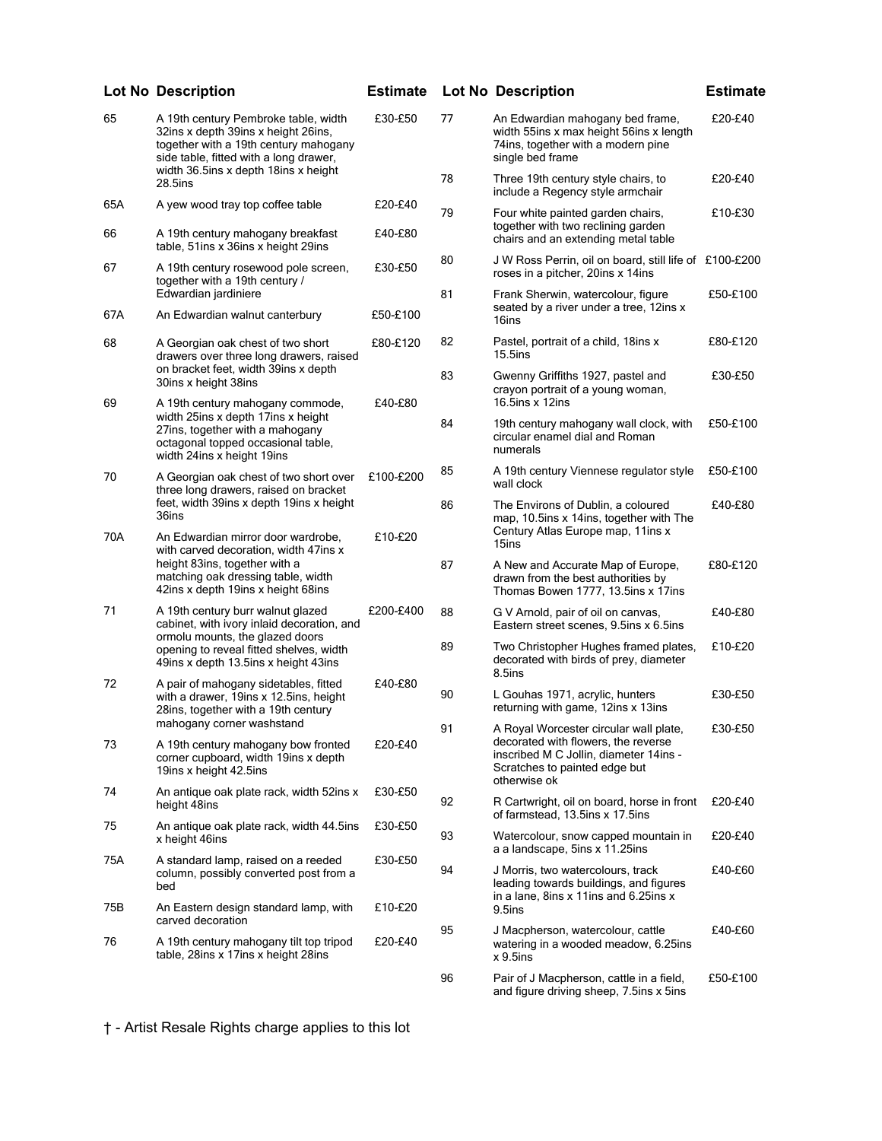|     | <b>Lot No Description</b>                                                                                                                                                                              |           |    | <b>Estimate Lot No Description</b>                                                                                                    | <b>Estimate</b> |
|-----|--------------------------------------------------------------------------------------------------------------------------------------------------------------------------------------------------------|-----------|----|---------------------------------------------------------------------------------------------------------------------------------------|-----------------|
| 65  | A 19th century Pembroke table, width<br>32ins x depth 39ins x height 26ins,<br>together with a 19th century mahogany<br>side table, fitted with a long drawer,<br>width 36.5ins x depth 18ins x height | £30-£50   | 77 | An Edwardian mahogany bed frame,<br>width 55ins x max height 56ins x length<br>74ins, together with a modern pine<br>single bed frame | £20-£40         |
|     | 28.5ins                                                                                                                                                                                                |           | 78 | Three 19th century style chairs, to<br>include a Regency style armchair                                                               | £20-£40         |
| 65A | A yew wood tray top coffee table                                                                                                                                                                       | £20-£40   | 79 | Four white painted garden chairs,<br>together with two reclining garden                                                               | £10-£30         |
| 66  | A 19th century mahogany breakfast<br>table, 51ins x 36ins x height 29ins                                                                                                                               | £40-£80   |    | chairs and an extending metal table                                                                                                   |                 |
| 67  | A 19th century rosewood pole screen,<br>together with a 19th century /                                                                                                                                 | £30-£50   | 80 | J W Ross Perrin, oil on board, still life of £100-£200<br>roses in a pitcher, 20ins x 14ins                                           |                 |
| 67A | Edwardian jardiniere<br>An Edwardian walnut canterbury                                                                                                                                                 | £50-£100  | 81 | Frank Sherwin, watercolour, figure<br>seated by a river under a tree, 12ins x<br>16ins                                                | £50-£100        |
| 68  | A Georgian oak chest of two short<br>drawers over three long drawers, raised                                                                                                                           | £80-£120  | 82 | Pastel, portrait of a child, 18ins x<br>$15.5$ ins                                                                                    | £80-£120        |
| 69  | on bracket feet, width 39ins x depth<br>30ins x height 38ins                                                                                                                                           | £40-£80   | 83 | Gwenny Griffiths 1927, pastel and<br>crayon portrait of a young woman,<br>16.5ins $x$ 12ins                                           | £30-£50         |
|     | A 19th century mahogany commode,<br>width 25ins x depth 17ins x height<br>27ins, together with a mahogany<br>octagonal topped occasional table.<br>width 24ins x height 19ins                          |           | 84 | 19th century mahogany wall clock, with<br>circular enamel dial and Roman<br>numerals                                                  | £50-£100        |
| 70  | A Georgian oak chest of two short over<br>three long drawers, raised on bracket                                                                                                                        | £100-£200 | 85 | A 19th century Viennese regulator style<br>wall clock                                                                                 | £50-£100        |
| 70A | feet, width 39ins x depth 19ins x height<br>36ins<br>An Edwardian mirror door wardrobe,                                                                                                                | £10-£20   | 86 | The Environs of Dublin, a coloured<br>map, 10.5ins x 14ins, together with The<br>Century Atlas Europe map, 11ins x                    | £40-£80         |
|     | with carved decoration, width 47ins x<br>height 83ins, together with a<br>matching oak dressing table, width<br>42ins x depth 19ins x height 68ins                                                     |           | 87 | 15ins<br>A New and Accurate Map of Europe,<br>drawn from the best authorities by<br>Thomas Bowen 1777, 13.5ins x 17ins                | £80-£120        |
| 71  | A 19th century burr walnut glazed<br>cabinet, with ivory inlaid decoration, and                                                                                                                        | £200-£400 | 88 | G V Arnold, pair of oil on canvas,<br>Eastern street scenes, 9.5 ins x 6.5 ins                                                        | £40-£80         |
|     | ormolu mounts, the glazed doors<br>opening to reveal fitted shelves, width<br>49ins x depth 13.5ins x height 43ins                                                                                     |           | 89 | Two Christopher Hughes framed plates,<br>decorated with birds of prey, diameter<br>8.5ins                                             | £10-£20         |
| 72  | A pair of mahogany sidetables, fitted<br>with a drawer, 19ins x 12.5ins, height                                                                                                                        | £40-£80   | 90 | L Gouhas 1971, acrylic, hunters<br>returning with game, 12ins x 13ins                                                                 | £30-£50         |
|     | 28ins, together with a 19th century<br>mahogany corner washstand                                                                                                                                       |           | 91 | A Royal Worcester circular wall plate,                                                                                                | £30-£50         |
| 73  | A 19th century mahogany bow fronted<br>corner cupboard, width 19ins x depth<br>19ins x height 42.5ins                                                                                                  | £20-£40   |    | decorated with flowers, the reverse<br>inscribed M C Jollin, diameter 14ins -<br>Scratches to painted edge but                        |                 |
| 74  | An antique oak plate rack, width 52ins x<br>height 48ins                                                                                                                                               | £30-£50   | 92 | otherwise ok<br>R Cartwright, oil on board, horse in front<br>of farmstead, 13.5ins x 17.5ins                                         | £20-£40         |
| 75  | An antique oak plate rack, width 44.5ins<br>x height 46ins                                                                                                                                             | £30-£50   | 93 | Watercolour, snow capped mountain in                                                                                                  | £20-£40         |
| 75A | A standard lamp, raised on a reeded<br>column, possibly converted post from a<br>bed                                                                                                                   | £30-£50   | 94 | a a landscape, 5ins x 11.25ins<br>J Morris, two watercolours, track<br>leading towards buildings, and figures                         | £40-£60         |
| 75B | An Eastern design standard lamp, with<br>carved decoration                                                                                                                                             | £10-£20   |    | in a lane, 8ins x 11ins and 6.25ins x<br>9.5ins                                                                                       |                 |
| 76  | A 19th century mahogany tilt top tripod<br>table, 28ins x 17ins x height 28ins                                                                                                                         | £20-£40   | 95 | J Macpherson, watercolour, cattle<br>watering in a wooded meadow, 6.25ins<br>$x$ 9.5ins                                               | £40-£60         |
|     |                                                                                                                                                                                                        |           | 96 | Pair of J Macpherson, cattle in a field,<br>and figure driving sheep, 7.5ins x 5ins                                                   | £50-£100        |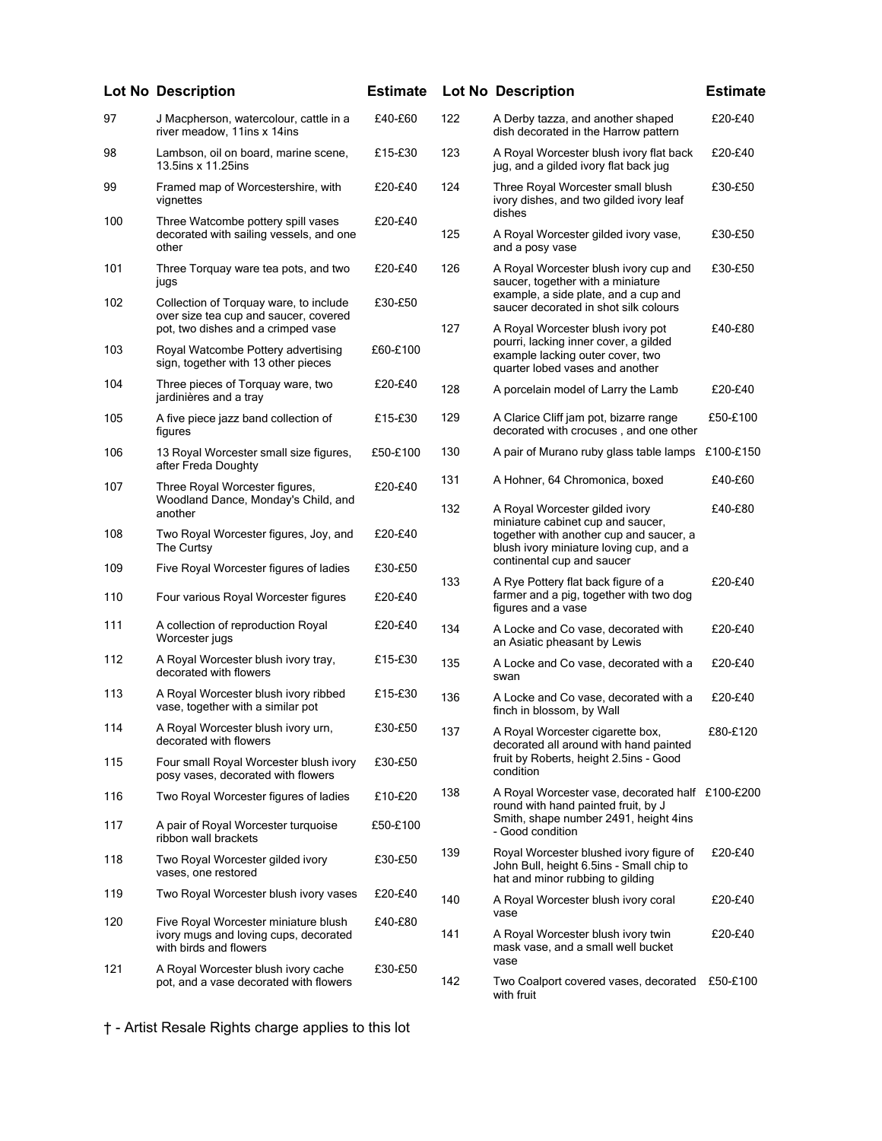|     | <b>Lot No Description</b>                                                                                             | <b>Estimate</b> |     | <b>Lot No Description</b>                                                                                               | <b>Estimate</b> |
|-----|-----------------------------------------------------------------------------------------------------------------------|-----------------|-----|-------------------------------------------------------------------------------------------------------------------------|-----------------|
| 97  | J Macpherson, watercolour, cattle in a<br>river meadow, 11ins x 14ins                                                 | £40-£60         | 122 | A Derby tazza, and another shaped<br>dish decorated in the Harrow pattern                                               | £20-£40         |
| 98  | Lambson, oil on board, marine scene,<br>13.5ins x 11.25ins                                                            | £15-£30         | 123 | A Royal Worcester blush ivory flat back<br>jug, and a gilded ivory flat back jug                                        | £20-£40         |
| 99  | Framed map of Worcestershire, with<br>vignettes                                                                       | £20-£40         | 124 | Three Royal Worcester small blush<br>ivory dishes, and two gilded ivory leaf<br>dishes                                  | £30-£50         |
| 100 | Three Watcombe pottery spill vases<br>decorated with sailing vessels, and one<br>other                                | £20-£40         | 125 | A Royal Worcester gilded ivory vase,<br>and a posy vase                                                                 | £30-£50         |
| 101 | Three Torquay ware tea pots, and two<br>jugs                                                                          | £20-£40         | 126 | A Royal Worcester blush ivory cup and<br>saucer, together with a miniature                                              | £30-£50         |
| 102 | Collection of Torquay ware, to include<br>over size tea cup and saucer, covered<br>pot, two dishes and a crimped vase | £30-£50         | 127 | example, a side plate, and a cup and<br>saucer decorated in shot silk colours<br>A Royal Worcester blush ivory pot      | £40-£80         |
| 103 | Royal Watcombe Pottery advertising<br>sign, together with 13 other pieces                                             | £60-£100        |     | pourri, lacking inner cover, a gilded<br>example lacking outer cover, two<br>quarter lobed vases and another            |                 |
| 104 | Three pieces of Torquay ware, two<br>jardinières and a tray                                                           | £20-£40         | 128 | A porcelain model of Larry the Lamb                                                                                     | £20-£40         |
| 105 | A five piece jazz band collection of<br>figures                                                                       | £15-£30         | 129 | A Clarice Cliff jam pot, bizarre range<br>decorated with crocuses, and one other                                        | £50-£100        |
| 106 | 13 Royal Worcester small size figures,<br>after Freda Doughty                                                         | £50-£100        | 130 | A pair of Murano ruby glass table lamps £100-£150                                                                       |                 |
| 107 | Three Royal Worcester figures,<br>Woodland Dance, Monday's Child, and                                                 | £20-£40         | 131 | A Hohner, 64 Chromonica, boxed                                                                                          | £40-£60         |
|     | another                                                                                                               |                 | 132 | A Royal Worcester gilded ivory<br>miniature cabinet cup and saucer,                                                     | £40-£80         |
| 108 | Two Royal Worcester figures, Joy, and<br>The Curtsy                                                                   | £20-£40         |     | together with another cup and saucer, a<br>blush ivory miniature loving cup, and a<br>continental cup and saucer        |                 |
| 109 | Five Royal Worcester figures of ladies                                                                                | £30-£50         | 133 | A Rye Pottery flat back figure of a                                                                                     | £20-£40         |
| 110 | Four various Royal Worcester figures                                                                                  | £20-£40         |     | farmer and a pig, together with two dog<br>figures and a vase                                                           |                 |
| 111 | A collection of reproduction Royal<br>Worcester jugs                                                                  | £20-£40         | 134 | A Locke and Co vase, decorated with<br>an Asiatic pheasant by Lewis                                                     | £20-£40         |
| 112 | A Royal Worcester blush ivory tray,<br>decorated with flowers                                                         | £15-£30         | 135 | A Locke and Co vase, decorated with a<br>swan                                                                           | £20-£40         |
| 113 | A Royal Worcester blush ivory ribbed<br>vase, together with a similar pot                                             | £15-£30         | 136 | A Locke and Co vase, decorated with a<br>finch in blossom, by Wall                                                      | £20-£40         |
| 114 | A Royal Worcester blush ivory urn,<br>decorated with flowers                                                          | £30-£50         | 137 | A Royal Worcester cigarette box,<br>decorated all around with hand painted                                              | £80-£120        |
| 115 | Four small Royal Worcester blush ivory<br>posy vases, decorated with flowers                                          | £30-£50         |     | fruit by Roberts, height 2.5ins - Good<br>condition                                                                     |                 |
| 116 | Two Royal Worcester figures of ladies                                                                                 | £10-£20         | 138 | A Royal Worcester vase, decorated half £100-£200<br>round with hand painted fruit, by J                                 |                 |
| 117 | A pair of Royal Worcester turquoise<br>ribbon wall brackets                                                           | £50-£100        |     | Smith, shape number 2491, height 4ins<br>- Good condition                                                               |                 |
| 118 | Two Royal Worcester gilded ivory<br>vases, one restored                                                               | £30-£50         | 139 | Royal Worcester blushed ivory figure of<br>John Bull, height 6.5ins - Small chip to<br>hat and minor rubbing to gilding | £20-£40         |
| 119 | Two Royal Worcester blush ivory vases                                                                                 | £20-£40         | 140 | A Royal Worcester blush ivory coral                                                                                     | £20-£40         |
| 120 | Five Royal Worcester miniature blush                                                                                  | £40-£80         | 141 | vase                                                                                                                    |                 |
|     | ivory mugs and loving cups, decorated<br>with birds and flowers                                                       |                 |     | A Royal Worcester blush ivory twin<br>mask vase, and a small well bucket<br>vase                                        | £20-£40         |
| 121 | A Royal Worcester blush ivory cache<br>pot, and a vase decorated with flowers                                         | £30-£50         | 142 | Two Coalport covered vases, decorated<br>with fruit                                                                     | £50-£100        |
|     |                                                                                                                       |                 |     |                                                                                                                         |                 |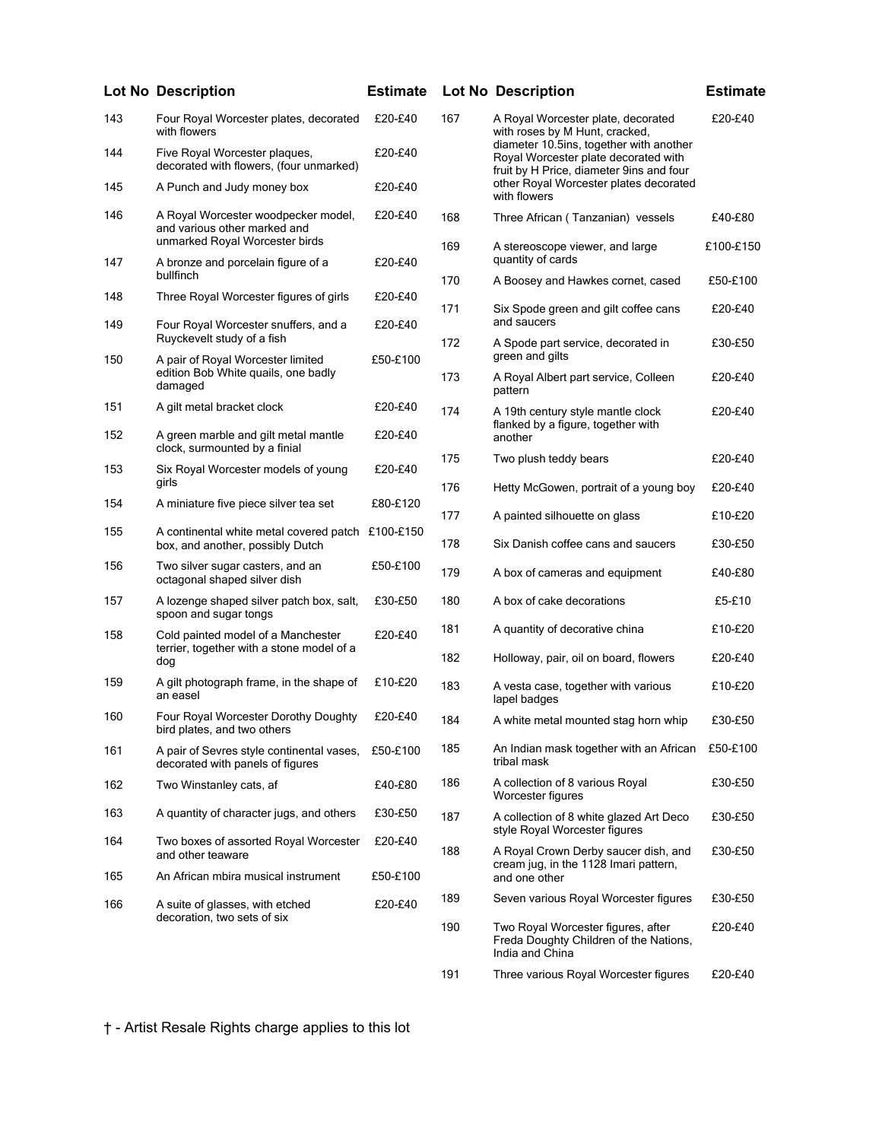|     | <b>Lot No Description</b>                                                                             | <b>Estimate</b> |     | <b>Lot No Description</b>                                                                                                   | <b>Estimate</b> |
|-----|-------------------------------------------------------------------------------------------------------|-----------------|-----|-----------------------------------------------------------------------------------------------------------------------------|-----------------|
| 143 | Four Royal Worcester plates, decorated<br>with flowers                                                | £20-£40         | 167 | A Royal Worcester plate, decorated<br>with roses by M Hunt, cracked,                                                        | £20-£40         |
| 144 | Five Royal Worcester plaques,<br>decorated with flowers, (four unmarked)                              | £20-£40         |     | diameter 10.5ins, together with another<br>Royal Worcester plate decorated with<br>fruit by H Price, diameter 9ins and four |                 |
| 145 | A Punch and Judy money box                                                                            | £20-£40         |     | other Royal Worcester plates decorated<br>with flowers                                                                      |                 |
| 146 | A Royal Worcester woodpecker model,<br>and various other marked and<br>unmarked Royal Worcester birds | £20-£40         | 168 | Three African (Tanzanian) vessels                                                                                           | £40-£80         |
| 147 | A bronze and porcelain figure of a<br>bullfinch                                                       | £20-£40         | 169 | A stereoscope viewer, and large<br>quantity of cards                                                                        | £100-£150       |
| 148 | Three Royal Worcester figures of girls                                                                | £20-£40         | 170 | A Boosey and Hawkes cornet, cased                                                                                           | £50-£100        |
| 149 | Four Royal Worcester snuffers, and a                                                                  | £20-£40         | 171 | Six Spode green and gilt coffee cans<br>and saucers                                                                         | £20-£40         |
| 150 | Ruyckevelt study of a fish<br>A pair of Royal Worcester limited                                       | £50-£100        | 172 | A Spode part service, decorated in<br>green and gilts                                                                       | £30-£50         |
|     | edition Bob White quails, one badly<br>damaged                                                        |                 | 173 | A Royal Albert part service, Colleen<br>pattern                                                                             | £20-£40         |
| 151 | A gilt metal bracket clock                                                                            | £20-£40         | 174 | A 19th century style mantle clock<br>flanked by a figure, together with                                                     | £20-£40         |
| 152 | A green marble and gilt metal mantle<br>clock, surmounted by a finial                                 | £20-£40         |     | another                                                                                                                     |                 |
| 153 | Six Royal Worcester models of young                                                                   | £20-£40         | 175 | Two plush teddy bears                                                                                                       | £20-£40         |
| 154 | girls<br>A miniature five piece silver tea set                                                        | £80-£120        | 176 | Hetty McGowen, portrait of a young boy                                                                                      | £20-£40         |
|     |                                                                                                       |                 | 177 | A painted silhouette on glass                                                                                               | £10-£20         |
| 155 | A continental white metal covered patch £100-£150<br>box, and another, possibly Dutch                 |                 | 178 | Six Danish coffee cans and saucers                                                                                          | £30-£50         |
| 156 | Two silver sugar casters, and an<br>octagonal shaped silver dish                                      | £50-£100        | 179 | A box of cameras and equipment                                                                                              | £40-£80         |
| 157 | A lozenge shaped silver patch box, salt,<br>spoon and sugar tongs                                     | £30-£50         | 180 | A box of cake decorations                                                                                                   | £5-£10          |
| 158 | Cold painted model of a Manchester<br>terrier, together with a stone model of a                       | £20-£40         | 181 | A quantity of decorative china                                                                                              | £10-£20         |
|     | dog                                                                                                   |                 | 182 | Holloway, pair, oil on board, flowers                                                                                       | £20-£40         |
| 159 | A gilt photograph frame, in the shape of<br>an easel                                                  | £10-£20         | 183 | A vesta case, together with various<br>lapel badges                                                                         | £10-£20         |
| 160 | Four Royal Worcester Dorothy Doughty<br>bird plates, and two others                                   | £20-£40         | 184 | A white metal mounted stag horn whip                                                                                        | £30-£50         |
| 161 | A pair of Sevres style continental vases,<br>decorated with panels of figures                         | £50-£100        | 185 | An Indian mask together with an African<br>tribal mask                                                                      | £50-£100        |
| 162 | Two Winstanley cats, af                                                                               | £40-£80         | 186 | A collection of 8 various Royal<br>Worcester figures                                                                        | £30-£50         |
| 163 | A quantity of character jugs, and others                                                              | £30-£50         | 187 | A collection of 8 white glazed Art Deco<br>style Royal Worcester figures                                                    | £30-£50         |
| 164 | Two boxes of assorted Royal Worcester<br>and other teaware                                            | £20-£40         | 188 | A Royal Crown Derby saucer dish, and<br>cream jug, in the 1128 Imari pattern,                                               | £30-£50         |
| 165 | An African mbira musical instrument                                                                   | £50-£100        |     | and one other                                                                                                               |                 |
| 166 | A suite of glasses, with etched                                                                       | £20-£40         | 189 | Seven various Royal Worcester figures                                                                                       | £30-£50         |
|     | decoration, two sets of six                                                                           |                 | 190 | Two Royal Worcester figures, after<br>Freda Doughty Children of the Nations,                                                | £20-£40         |

| 167 | A Royal Worcester plate, decorated<br>with roses by M Hunt, cracked,<br>diameter 10.5ins, together with another<br>Royal Worcester plate decorated with<br>fruit by H Price, diameter 9ins and four<br>other Royal Worcester plates decorated<br>with flowers | £20-£40   |
|-----|---------------------------------------------------------------------------------------------------------------------------------------------------------------------------------------------------------------------------------------------------------------|-----------|
| 168 | Three African (Tanzanian) vessels                                                                                                                                                                                                                             | £40-£80   |
| 169 | A stereoscope viewer, and large<br>quantity of cards                                                                                                                                                                                                          | £100-£150 |
| 170 | A Boosey and Hawkes cornet, cased                                                                                                                                                                                                                             | £50-£100  |
| 171 | Six Spode green and gilt coffee cans<br>and saucers                                                                                                                                                                                                           | £20-£40   |
| 172 | A Spode part service, decorated in<br>green and gilts                                                                                                                                                                                                         | £30-£50   |
| 173 | A Royal Albert part service, Colleen<br>pattern                                                                                                                                                                                                               | £20-£40   |
| 174 | A 19th century style mantle clock<br>flanked by a figure, together with<br>another                                                                                                                                                                            | £20-£40   |
| 175 | Two plush teddy bears                                                                                                                                                                                                                                         | £20-£40   |
| 176 | Hetty McGowen, portrait of a young boy                                                                                                                                                                                                                        | £20-£40   |
| 177 | A painted silhouette on glass                                                                                                                                                                                                                                 | £10-£20   |
| 178 | Six Danish coffee cans and saucers                                                                                                                                                                                                                            | £30-£50   |
| 179 | A box of cameras and equipment                                                                                                                                                                                                                                | £40-£80   |
| 180 | A box of cake decorations                                                                                                                                                                                                                                     | £5-£10    |
| 181 | A quantity of decorative china                                                                                                                                                                                                                                | £10-£20   |
| 182 | Holloway, pair, oil on board, flowers                                                                                                                                                                                                                         | £20-£40   |
| 183 | A vesta case, together with various<br>lapel badges                                                                                                                                                                                                           | £10-£20   |
| 184 | A white metal mounted stag horn whip                                                                                                                                                                                                                          | £30-£50   |
| 185 | An Indian mask together with an African<br>tribal mask                                                                                                                                                                                                        | £50-£100  |
| 186 | A collection of 8 various Royal<br>Worcester figures                                                                                                                                                                                                          | £30-£50   |
| 187 | A collection of 8 white glazed Art Deco<br>style Royal Worcester figures                                                                                                                                                                                      | £30-£50   |
| 188 | A Royal Crown Derby saucer dish, and<br>cream jug, in the 1128 Imari pattern,<br>and one other                                                                                                                                                                | £30-£50   |
| 189 | Seven various Royal Worcester figures                                                                                                                                                                                                                         | £30-£50   |
| 190 | Two Royal Worcester figures, after<br>Freda Doughty Children of the Nations,<br>India and China                                                                                                                                                               | £20-£40   |
| 191 | Three various Royal Worcester figures                                                                                                                                                                                                                         | £20-£40   |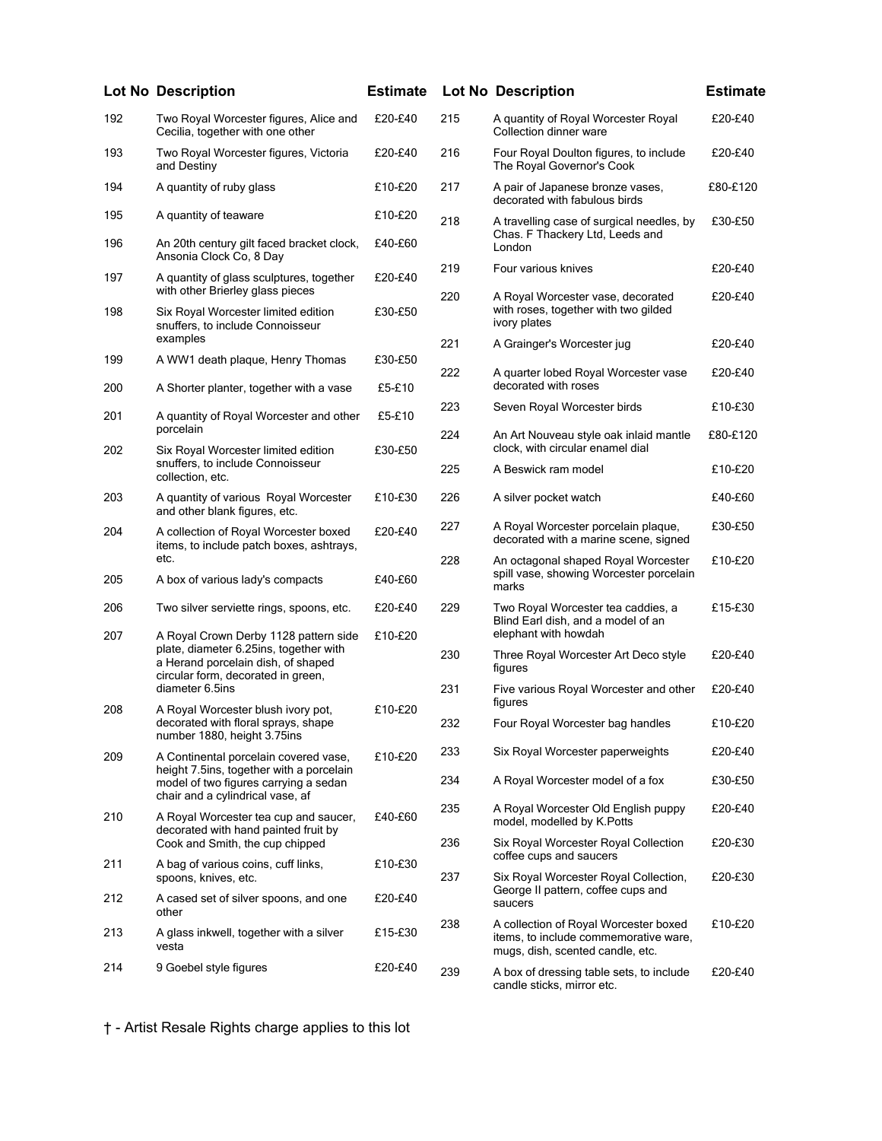|     | <b>Lot No Description</b>                                                                                             | <b>Estimate</b> |            | <b>Lot No Description</b>                                                                                          | <b>Estimate</b>    |
|-----|-----------------------------------------------------------------------------------------------------------------------|-----------------|------------|--------------------------------------------------------------------------------------------------------------------|--------------------|
| 192 | Two Royal Worcester figures, Alice and<br>Cecilia, together with one other                                            | £20-£40         | 215        | A quantity of Royal Worcester Royal<br>Collection dinner ware                                                      | £20-£40            |
| 193 | Two Royal Worcester figures, Victoria<br>and Destiny                                                                  | £20-£40         | 216        | Four Royal Doulton figures, to include<br>The Royal Governor's Cook                                                | £20-£40            |
| 194 | A quantity of ruby glass                                                                                              | £10-£20         | 217        | A pair of Japanese bronze vases,<br>decorated with fabulous birds                                                  | £80-£120           |
| 195 | A quantity of teaware                                                                                                 | £10-£20         | 218        | A travelling case of surgical needles, by                                                                          | £30-£50            |
| 196 | An 20th century gilt faced bracket clock,<br>Ansonia Clock Co, 8 Day                                                  | £40-£60         |            | Chas. F Thackery Ltd, Leeds and<br>London                                                                          |                    |
| 197 | A quantity of glass sculptures, together<br>with other Brierley glass pieces                                          | £20-£40         | 219<br>220 | Four various knives<br>A Royal Worcester vase, decorated                                                           | £20-£40<br>£20-£40 |
| 198 | Six Royal Worcester limited edition<br>snuffers, to include Connoisseur                                               | £30-£50         |            | with roses, together with two gilded<br>ivory plates                                                               |                    |
| 199 | examples<br>A WW1 death plaque, Henry Thomas                                                                          | £30-£50         | 221        | A Grainger's Worcester jug                                                                                         | £20-£40            |
| 200 | A Shorter planter, together with a vase                                                                               | £5-£10          | 222        | A quarter lobed Royal Worcester vase<br>decorated with roses                                                       | £20-£40            |
| 201 | A quantity of Royal Worcester and other                                                                               | £5-£10          | 223        | Seven Royal Worcester birds                                                                                        | £10-£30            |
| 202 | porcelain<br>Six Royal Worcester limited edition                                                                      | £30-£50         | 224        | An Art Nouveau style oak inlaid mantle<br>clock, with circular enamel dial                                         | £80-£120           |
|     | snuffers, to include Connoisseur<br>collection, etc.                                                                  |                 | 225        | A Beswick ram model                                                                                                | £10-£20            |
| 203 | A quantity of various Royal Worcester<br>and other blank figures, etc.                                                | £10-£30         | 226        | A silver pocket watch                                                                                              | £40-£60            |
| 204 | A collection of Royal Worcester boxed<br>items, to include patch boxes, ashtrays,                                     | £20-£40         | 227        | A Royal Worcester porcelain plaque,<br>decorated with a marine scene, signed                                       | £30-£50            |
| 205 | etc.<br>A box of various lady's compacts                                                                              | £40-£60         | 228        | An octagonal shaped Royal Worcester<br>spill vase, showing Worcester porcelain<br>marks                            | £10-£20            |
| 206 | Two silver serviette rings, spoons, etc.                                                                              | £20-£40         | 229        | Two Royal Worcester tea caddies, a<br>Blind Earl dish, and a model of an                                           | £15-£30            |
| 207 | A Royal Crown Derby 1128 pattern side<br>plate, diameter 6.25ins, together with<br>a Herand porcelain dish, of shaped | £10-£20         | 230        | elephant with howdah<br>Three Royal Worcester Art Deco style                                                       | £20-£40            |
|     | circular form, decorated in green,<br>diameter 6.5ins                                                                 |                 | 231        | figures<br>Five various Royal Worcester and other                                                                  | £20-£40            |
| 208 | A Royal Worcester blush ivory pot,                                                                                    | £10-£20         |            | figures                                                                                                            |                    |
|     | decorated with floral sprays, shape<br>number 1880, height 3.75ins                                                    |                 | 232        | Four Royal Worcester bag handles                                                                                   | £10-£20            |
| 209 | A Continental porcelain covered vase,<br>height 7.5ins, together with a porcelain                                     | £10-£20         | 233        | Six Royal Worcester paperweights                                                                                   | £20-£40            |
|     | model of two figures carrying a sedan<br>chair and a cylindrical vase, af                                             |                 | 234        | A Royal Worcester model of a fox                                                                                   | £30-£50            |
| 210 | A Royal Worcester tea cup and saucer,<br>decorated with hand painted fruit by                                         | £40-£60         | 235        | A Royal Worcester Old English puppy<br>model, modelled by K. Potts                                                 | £20-£40            |
| 211 | Cook and Smith, the cup chipped<br>A bag of various coins, cuff links,                                                | £10-£30         | 236        | Six Royal Worcester Royal Collection<br>coffee cups and saucers                                                    | £20-£30            |
|     | spoons, knives, etc.                                                                                                  |                 | 237        | Six Royal Worcester Royal Collection,<br>George II pattern, coffee cups and                                        | £20-£30            |
| 212 | A cased set of silver spoons, and one<br>other                                                                        | £20-£40         |            | saucers                                                                                                            |                    |
| 213 | A glass inkwell, together with a silver<br>vesta                                                                      | £15-£30         | 238        | A collection of Royal Worcester boxed<br>items, to include commemorative ware,<br>mugs, dish, scented candle, etc. | £10-£20            |
| 214 | 9 Goebel style figures                                                                                                | £20-£40         | 239        | A box of dressing table sets, to include                                                                           | £20-£40            |

|     | <b>Lot No Description</b>                                                                                          | <b>Estimate</b> |
|-----|--------------------------------------------------------------------------------------------------------------------|-----------------|
| 215 | A quantity of Royal Worcester Royal<br>Collection dinner ware                                                      | £20-£40         |
| 216 | Four Royal Doulton figures, to include<br>The Royal Governor's Cook                                                | £20-£40         |
| 217 | A pair of Japanese bronze vases,<br>decorated with fabulous birds                                                  | £80-£120        |
| 218 | A travelling case of surgical needles, by<br>Chas. F Thackery Ltd, Leeds and<br>London                             | £30-£50         |
| 219 | Four various knives                                                                                                | £20-£40         |
| 220 | A Royal Worcester vase, decorated<br>with roses, together with two gilded<br>ivory plates                          | £20-£40         |
| 221 | A Grainger's Worcester jug                                                                                         | £20-£40         |
| 222 | A quarter lobed Royal Worcester vase<br>decorated with roses                                                       | £20-£40         |
| 223 | Seven Royal Worcester birds                                                                                        | £10-£30         |
| 224 | An Art Nouveau style oak inlaid mantle<br>clock, with circular enamel dial                                         | £80-£120        |
| 225 | A Beswick ram model                                                                                                | £10-£20         |
| 226 | A silver pocket watch                                                                                              | £40-£60         |
| 227 | A Royal Worcester porcelain plaque,<br>decorated with a marine scene, signed                                       | £30-£50         |
| 228 | An octagonal shaped Royal Worcester<br>spill vase, showing Worcester porcelain<br>marks                            | £10-£20         |
| 229 | Two Royal Worcester tea caddies, a<br>Blind Earl dish, and a model of an<br>elephant with howdah                   | £15-£30         |
| 230 | Three Royal Worcester Art Deco style<br>figures                                                                    | £20-£40         |
| 231 | Five various Royal Worcester and other<br>figures                                                                  | £20-£40         |
| 232 | Four Royal Worcester bag handles                                                                                   | £10-£20         |
| 233 | Six Royal Worcester paperweights                                                                                   | £20-£40         |
| 234 | A Royal Worcester model of a fox                                                                                   | £30-£50         |
| 235 | A Royal Worcester Old English puppy<br>model, modelled by K.Potts                                                  | £20-£40         |
| 236 | Six Royal Worcester Royal Collection<br>coffee cups and saucers                                                    | £20-£30         |
| 237 | Six Royal Worcester Royal Collection,<br>George II pattern, coffee cups and<br>saucers                             | £20-£30         |
| 238 | A collection of Royal Worcester boxed<br>items, to include commemorative ware,<br>mugs, dish, scented candle, etc. | £10-£20         |
| 239 | A box of dressing table sets, to include<br>candle sticks, mirror etc.                                             | £20-£40         |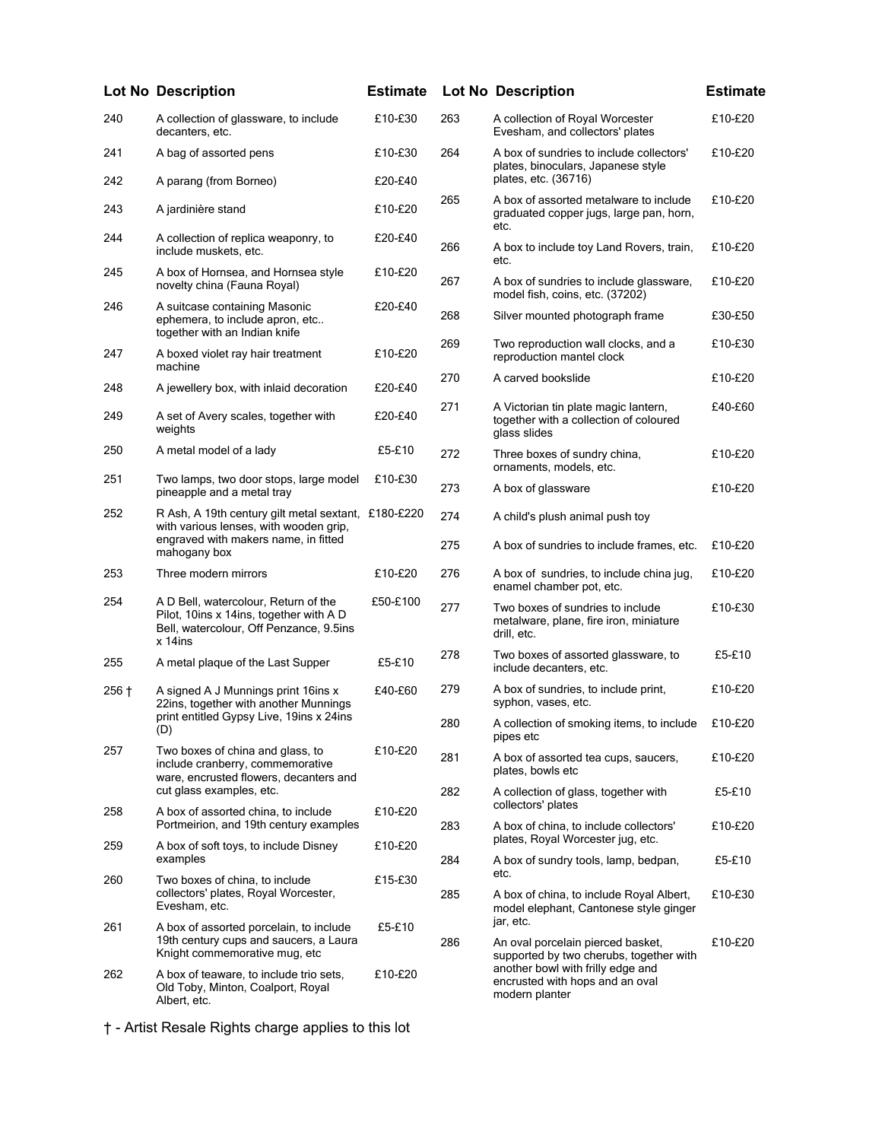|              | <b>Lot No Description</b>                                                                                                               | <b>Estimate</b> |     | <b>Lot No Description</b>                                                                      | <b>Estimate</b> |
|--------------|-----------------------------------------------------------------------------------------------------------------------------------------|-----------------|-----|------------------------------------------------------------------------------------------------|-----------------|
| 240          | A collection of glassware, to include<br>decanters, etc.                                                                                | £10-£30         | 263 | A collection of Royal Worcester<br>Evesham, and collectors' plates                             | £10-£20         |
| 241          | A bag of assorted pens                                                                                                                  | £10-£30         | 264 | A box of sundries to include collectors'<br>plates, binoculars, Japanese style                 | £10-£20         |
| 242          | A parang (from Borneo)                                                                                                                  | £20-£40         |     | plates, etc. (36716)                                                                           |                 |
| 243          | A jardinière stand                                                                                                                      | £10-£20         | 265 | A box of assorted metalware to include<br>graduated copper jugs, large pan, horn,<br>etc.      | £10-£20         |
| 244          | A collection of replica weaponry, to<br>include muskets, etc.                                                                           | £20-£40         | 266 | A box to include toy Land Rovers, train,<br>etc.                                               | £10-£20         |
| 245          | A box of Hornsea, and Hornsea style<br>novelty china (Fauna Royal)                                                                      | £10-£20         | 267 | A box of sundries to include glassware,<br>model fish, coins, etc. (37202)                     | £10-£20         |
| 246          | A suitcase containing Masonic<br>ephemera, to include apron, etc<br>together with an Indian knife                                       | £20-£40         | 268 | Silver mounted photograph frame                                                                | £30-£50         |
| 247          | A boxed violet ray hair treatment<br>machine                                                                                            | £10-£20         | 269 | Two reproduction wall clocks, and a<br>reproduction mantel clock                               | £10-£30         |
| 248          | A jewellery box, with inlaid decoration                                                                                                 | £20-£40         | 270 | A carved bookslide                                                                             | £10-£20         |
| 249          | A set of Avery scales, together with<br>weights                                                                                         | £20-£40         | 271 | A Victorian tin plate magic lantern,<br>together with a collection of coloured<br>glass slides | £40-£60         |
| 250          | A metal model of a lady                                                                                                                 | £5-£10          | 272 | Three boxes of sundry china,<br>ornaments, models, etc.                                        | £10-£20         |
| 251          | Two lamps, two door stops, large model<br>pineapple and a metal tray                                                                    | £10-£30         | 273 | A box of glassware                                                                             | £10-£20         |
| 252          | R Ash, A 19th century gilt metal sextant, £180-£220<br>with various lenses, with wooden grip,<br>engraved with makers name, in fitted   |                 | 274 | A child's plush animal push toy                                                                |                 |
| mahogany box |                                                                                                                                         |                 | 275 | A box of sundries to include frames, etc.                                                      | £10-£20         |
| 253          | Three modern mirrors                                                                                                                    | £10-£20         | 276 | A box of sundries, to include china jug,<br>enamel chamber pot, etc.                           | £10-£20         |
| 254          | A D Bell, watercolour, Return of the<br>Pilot, 10ins x 14ins, together with A D<br>Bell, watercolour, Off Penzance, 9.5ins<br>$x$ 14ins | £50-£100        | 277 | Two boxes of sundries to include<br>metalware, plane, fire iron, miniature<br>drill, etc.      | £10-£30         |
| 255          | A metal plaque of the Last Supper                                                                                                       | £5-£10          | 278 | Two boxes of assorted glassware, to<br>include decanters, etc.                                 | £5-£10          |
| $256 +$      | A signed A J Munnings print 16ins x<br>22ins, together with another Munnings                                                            | £40-£60         | 279 | A box of sundries, to include print,<br>syphon, vases, etc.                                    | £10-£20         |
|              | print entitled Gypsy Live, 19ins x 24ins<br>(D)                                                                                         |                 | 280 | A collection of smoking items, to include<br>pipes etc                                         | £10-£20         |
| 257          | Two boxes of china and glass, to<br>include cranberry, commemorative<br>ware, encrusted flowers, decanters and                          | £10-£20         | 281 | A box of assorted tea cups, saucers,<br>plates, bowls etc                                      | £10-£20         |
| 258          | cut glass examples, etc.<br>A box of assorted china, to include                                                                         | £10-£20         | 282 | A collection of glass, together with<br>collectors' plates                                     | £5-£10          |
| 259          | Portmeirion, and 19th century examples<br>A box of soft toys, to include Disney                                                         | £10-£20         | 283 | A box of china, to include collectors'<br>plates, Royal Worcester jug, etc.                    | £10-£20         |
|              | examples                                                                                                                                |                 | 284 | A box of sundry tools, lamp, bedpan,<br>etc.                                                   | £5-£10          |
| 260          | Two boxes of china, to include<br>collectors' plates, Royal Worcester,<br>Evesham, etc.                                                 | £15-£30         | 285 | A box of china, to include Royal Albert,<br>model elephant, Cantonese style ginger             | £10-£30         |
| 261          | A box of assorted porcelain, to include                                                                                                 | £5-£10          |     | jar, etc.                                                                                      |                 |
|              | 19th century cups and saucers, a Laura<br>Knight commemorative mug, etc                                                                 |                 | 286 | An oval porcelain pierced basket,<br>supported by two cherubs, together with                   | £10-£20         |
| 262          | A box of teaware, to include trio sets,<br>Old Toby, Minton, Coalport, Royal<br>Albert, etc.                                            | £10-£20         |     | another bowl with frilly edge and<br>encrusted with hops and an oval<br>modern planter         |                 |

etc. jar, etc. modern planter

<sup>† -</sup> Artist Resale Rights charge applies to this lot

|     | <b>Lot No Description</b>                                                                                                                                              | <b>Estimat</b> |
|-----|------------------------------------------------------------------------------------------------------------------------------------------------------------------------|----------------|
| 263 | A collection of Royal Worcester<br>Evesham, and collectors' plates                                                                                                     | £10-£20        |
| 264 | A box of sundries to include collectors'<br>plates, binoculars, Japanese style<br>plates, etc. (36716)                                                                 | £10-£20        |
| 265 | A box of assorted metalware to include<br>graduated copper jugs, large pan, horn,<br>etc.                                                                              | £10-£20        |
| 266 | A box to include toy Land Rovers, train,<br>etc.                                                                                                                       | £10-£20        |
| 267 | A box of sundries to include glassware,<br>model fish, coins, etc. (37202)                                                                                             | £10-£20        |
| 268 | Silver mounted photograph frame                                                                                                                                        | £30-£50        |
| 269 | Two reproduction wall clocks, and a<br>reproduction mantel clock                                                                                                       | £10-£30        |
| 270 | A carved bookslide                                                                                                                                                     | £10-£20        |
| 271 | A Victorian tin plate magic lantern,<br>together with a collection of coloured<br>glass slides                                                                         | £40-£60        |
| 272 | Three boxes of sundry china,<br>ornaments, models, etc.                                                                                                                | £10-£20        |
| 273 | A box of glassware                                                                                                                                                     | £10-£20        |
| 274 | A child's plush animal push toy                                                                                                                                        |                |
| 275 | A box of sundries to include frames, etc.                                                                                                                              | £10-£20        |
| 276 | A box of sundries, to include china jug,<br>enamel chamber pot, etc.                                                                                                   | £10-£20        |
| 277 | Two boxes of sundries to include<br>metalware, plane, fire iron, miniature<br>drill, etc.                                                                              | £10-£30        |
| 278 | Two boxes of assorted glassware, to<br>include decanters, etc.                                                                                                         | £5-£10         |
| 279 | A box of sundries, to include print,<br>syphon, vases, etc.                                                                                                            | £10-£20        |
| 280 | A collection of smoking items, to include<br>pipes etc                                                                                                                 | £10-£20        |
| 281 | A box of assorted tea cups, saucers,<br>plates, bowls etc                                                                                                              | £10-£20        |
| 282 | A collection of glass, together with<br>collectors' plates                                                                                                             | £5-£10         |
| 283 | A box of china, to include collectors'<br>plates, Royal Worcester jug, etc.                                                                                            | £10-£20        |
| 284 | A box of sundry tools, lamp, bedpan,<br>etc.                                                                                                                           | £5-£10         |
| 285 | A box of china, to include Royal Albert,<br>model elephant, Cantonese style ginger<br>jar, etc.                                                                        | £10-£30        |
| 286 | An oval porcelain pierced basket,<br>supported by two cherubs, together with<br>another bowl with frilly edge and<br>encrusted with hops and an oval<br>modern planter | £10-£20        |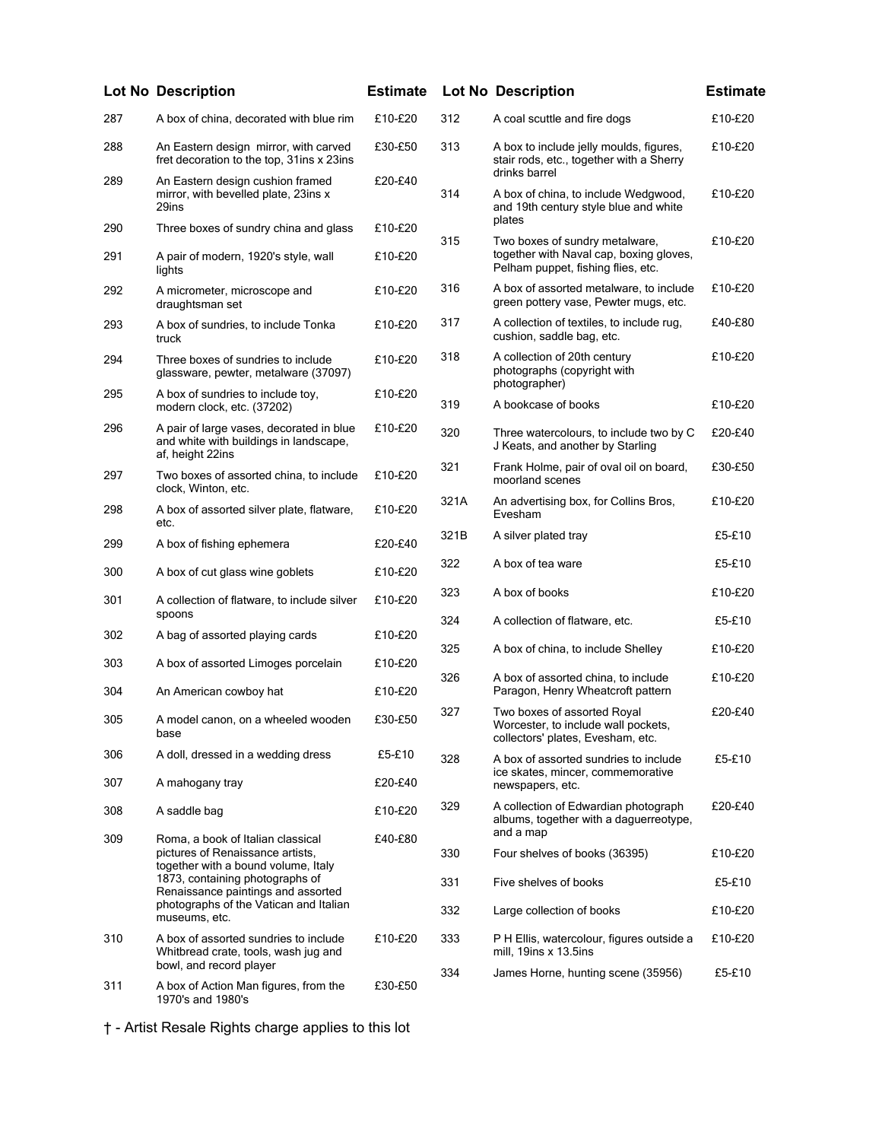|     | <b>Lot No Description</b>                                                                              | <b>Estimate</b> |      | <b>Lot No Description</b>                                                                                       | <b>Estimate</b> |
|-----|--------------------------------------------------------------------------------------------------------|-----------------|------|-----------------------------------------------------------------------------------------------------------------|-----------------|
| 287 | A box of china, decorated with blue rim                                                                | £10-£20         | 312  | A coal scuttle and fire dogs                                                                                    | £10-£20         |
| 288 | An Eastern design mirror, with carved<br>fret decoration to the top, 31ins x 23ins                     | £30-£50         | 313  | A box to include jelly moulds, figures,<br>stair rods, etc., together with a Sherry                             | £10-£20         |
| 289 | An Eastern design cushion framed<br>mirror, with bevelled plate, 23ins x<br>29ins                      | £20-£40         | 314  | drinks barrel<br>A box of china, to include Wedgwood,<br>and 19th century style blue and white                  | £10-£20         |
| 290 | Three boxes of sundry china and glass                                                                  | £10-£20         |      | plates                                                                                                          |                 |
| 291 | A pair of modern, 1920's style, wall<br>lights                                                         | £10-£20         | 315  | Two boxes of sundry metalware,<br>together with Naval cap, boxing gloves,<br>Pelham puppet, fishing flies, etc. | £10-£20         |
| 292 | A micrometer, microscope and<br>draughtsman set                                                        | £10-£20         | 316  | A box of assorted metalware, to include<br>green pottery vase, Pewter mugs, etc.                                | £10-£20         |
| 293 | A box of sundries, to include Tonka<br>truck                                                           | £10-£20         | 317  | A collection of textiles, to include rug,<br>cushion, saddle bag, etc.                                          | £40-£80         |
| 294 | Three boxes of sundries to include<br>glassware, pewter, metalware (37097)                             | £10-£20         | 318  | A collection of 20th century<br>photographs (copyright with<br>photographer)                                    | £10-£20         |
| 295 | A box of sundries to include toy,<br>modern clock, etc. (37202)                                        | £10-£20         | 319  | A bookcase of books                                                                                             | £10-£20         |
| 296 | A pair of large vases, decorated in blue<br>and white with buildings in landscape,<br>af, height 22ins | £10-£20         | 320  | Three watercolours, to include two by C<br>J Keats, and another by Starling                                     | £20-£40         |
| 297 | Two boxes of assorted china, to include<br>clock, Winton, etc.                                         | £10-£20         | 321  | Frank Holme, pair of oval oil on board,<br>moorland scenes                                                      | £30-£50         |
| 298 | A box of assorted silver plate, flatware,<br>etc.                                                      | £10-£20         | 321A | An advertising box, for Collins Bros,<br>Evesham                                                                | £10-£20         |
| 299 | A box of fishing ephemera                                                                              | £20-£40         | 321B | A silver plated tray                                                                                            | £5-£10          |
| 300 | A box of cut glass wine goblets                                                                        | £10-£20         | 322  | A box of tea ware                                                                                               | £5-£10          |
| 301 | A collection of flatware, to include silver<br>spoons                                                  | £10-£20         | 323  | A box of books                                                                                                  | £10-£20         |
| 302 | A bag of assorted playing cards                                                                        | £10-£20         | 324  | A collection of flatware, etc.                                                                                  | £5-£10          |
| 303 | A box of assorted Limoges porcelain                                                                    | £10-£20         | 325  | A box of china, to include Shelley                                                                              | £10-£20         |
| 304 | An American cowboy hat                                                                                 | £10-£20         | 326  | A box of assorted china, to include<br>Paragon, Henry Wheatcroft pattern                                        | £10-£20         |
| 305 | A model canon, on a wheeled wooden<br>base                                                             | £30-£50         | 327  | Two boxes of assorted Royal<br>Worcester, to include wall pockets,<br>collectors' plates, Evesham, etc.         | £20-£40         |
| 306 | A doll, dressed in a wedding dress                                                                     | £5-£10          | 328  | A box of assorted sundries to include                                                                           | £5-£10          |
| 307 | A mahogany tray                                                                                        | £20-£40         |      | ice skates, mincer, commemorative<br>newspapers, etc.                                                           |                 |
| 308 | A saddle bag                                                                                           | £10-£20         | 329  | A collection of Edwardian photograph<br>albums, together with a daguerreotype,                                  | £20-£40         |
| 309 | Roma, a book of Italian classical<br>pictures of Renaissance artists,                                  | £40-£80         | 330  | and a map<br>Four shelves of books (36395)                                                                      | £10-£20         |
|     | together with a bound volume, Italy<br>1873, containing photographs of                                 |                 | 331  | Five shelves of books                                                                                           | £5-£10          |
|     | Renaissance paintings and assorted<br>photographs of the Vatican and Italian<br>museums, etc.          |                 | 332  | Large collection of books                                                                                       | £10-£20         |
| 310 | A box of assorted sundries to include<br>Whitbread crate, tools, wash jug and                          | £10-£20         | 333  | P H Ellis, watercolour, figures outside a<br>mill, 19ins x 13.5ins                                              | £10-£20         |
| 311 | bowl, and record player                                                                                | £30-£50         | 334  | James Horne, hunting scene (35956)                                                                              | £5-£10          |
|     | A box of Action Man figures, from the<br>1970's and 1980's                                             |                 |      |                                                                                                                 |                 |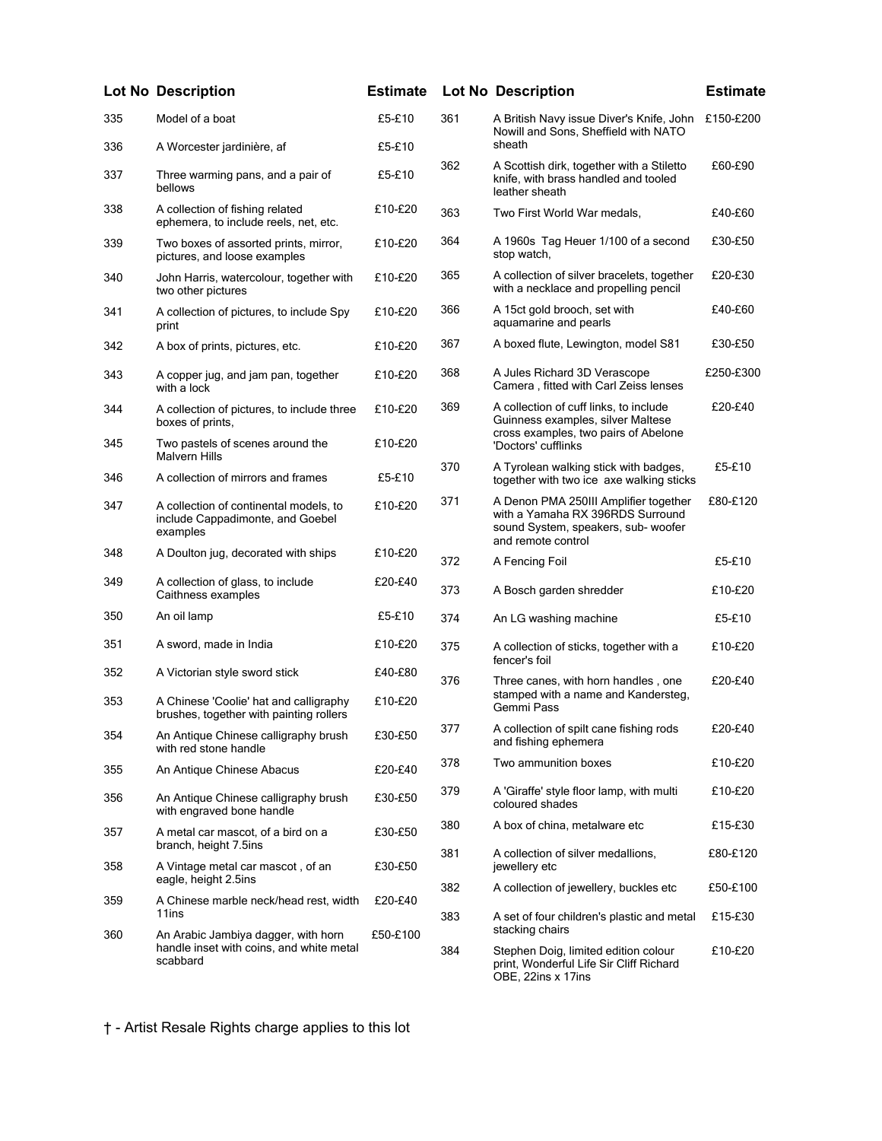|     | <b>Lot No Description</b>                                                                   | <b>Estimate</b> |     | <b>Lot No Description</b>                                                                                                              | <b>Estimate</b> |
|-----|---------------------------------------------------------------------------------------------|-----------------|-----|----------------------------------------------------------------------------------------------------------------------------------------|-----------------|
| 335 | Model of a boat                                                                             | £5-£10          | 361 | A British Navy issue Diver's Knife, John<br>Nowill and Sons, Sheffield with NATO                                                       | £150-£200       |
| 336 | A Worcester jardinière, af                                                                  | £5-£10          |     | sheath                                                                                                                                 |                 |
| 337 | Three warming pans, and a pair of<br>bellows                                                | £5-£10          | 362 | A Scottish dirk, together with a Stiletto<br>knife, with brass handled and tooled<br>leather sheath                                    | £60-£90         |
| 338 | A collection of fishing related<br>ephemera, to include reels, net, etc.                    | £10-£20         | 363 | Two First World War medals,                                                                                                            | £40-£60         |
| 339 | Two boxes of assorted prints, mirror,<br>pictures, and loose examples                       | £10-£20         | 364 | A 1960s Tag Heuer 1/100 of a second<br>stop watch,                                                                                     | £30-£50         |
| 340 | John Harris, watercolour, together with<br>two other pictures                               | £10-£20         | 365 | A collection of silver bracelets, together<br>with a necklace and propelling pencil                                                    | £20-£30         |
| 341 | A collection of pictures, to include Spy<br>print                                           | £10-£20         | 366 | A 15ct gold brooch, set with<br>aquamarine and pearls                                                                                  | £40-£60         |
| 342 | A box of prints, pictures, etc.                                                             | £10-£20         | 367 | A boxed flute, Lewington, model S81                                                                                                    | £30-£50         |
| 343 | A copper jug, and jam pan, together<br>with a lock                                          | £10-£20         | 368 | A Jules Richard 3D Verascope<br>Camera, fitted with Carl Zeiss lenses                                                                  | £250-£300       |
| 344 | A collection of pictures, to include three<br>boxes of prints.                              | £10-£20         | 369 | A collection of cuff links, to include<br>Guinness examples, silver Maltese                                                            | £20-£40         |
| 345 | Two pastels of scenes around the<br><b>Malvern Hills</b>                                    | £10-£20         |     | cross examples, two pairs of Abelone<br>'Doctors' cufflinks                                                                            |                 |
| 346 | A collection of mirrors and frames                                                          | £5-£10          | 370 | A Tyrolean walking stick with badges,<br>together with two ice axe walking sticks                                                      | £5-£10          |
| 347 | A collection of continental models, to<br>include Cappadimonte, and Goebel<br>examples      | £10-£20         | 371 | A Denon PMA 250III Amplifier together<br>with a Yamaha RX 396RDS Surround<br>sound System, speakers, sub- woofer<br>and remote control | £80-£120        |
| 348 | A Doulton jug, decorated with ships                                                         | £10-£20         | 372 | A Fencing Foil                                                                                                                         | £5-£10          |
| 349 | A collection of glass, to include<br>Caithness examples                                     | £20-£40         | 373 | A Bosch garden shredder                                                                                                                | £10-£20         |
| 350 | An oil lamp                                                                                 | £5-£10          | 374 | An LG washing machine                                                                                                                  | £5-£10          |
| 351 | A sword, made in India                                                                      | £10-£20         | 375 | A collection of sticks, together with a<br>fencer's foil                                                                               | £10-£20         |
| 352 | A Victorian style sword stick                                                               | £40-£80         | 376 | Three canes, with horn handles, one                                                                                                    | £20-£40         |
| 353 | A Chinese 'Coolie' hat and calligraphy<br>brushes, together with painting rollers           | £10-£20         |     | stamped with a name and Kandersteg,<br>Gemmi Pass                                                                                      |                 |
| 354 | An Antique Chinese calligraphy brush<br>with red stone handle                               | £30-£50         | 377 | A collection of spilt cane fishing rods<br>and fishing ephemera                                                                        | £20-£40         |
| 355 | An Antique Chinese Abacus                                                                   | £20-£40         | 378 | Two ammunition boxes                                                                                                                   | £10-£20         |
| 356 | An Antique Chinese calligraphy brush<br>with engraved bone handle                           | £30-£50         | 379 | A 'Giraffe' style floor lamp, with multi<br>coloured shades                                                                            | £10-£20         |
| 357 | A metal car mascot, of a bird on a<br>branch, height 7.5ins                                 | £30-£50         | 380 | A box of china, metalware etc                                                                                                          | £15-£30         |
| 358 | A Vintage metal car mascot, of an<br>eagle, height 2.5ins                                   | £30-£50         | 381 | A collection of silver medallions,<br>jewellery etc                                                                                    | £80-£120        |
| 359 | A Chinese marble neck/head rest, width                                                      | £20-£40         | 382 | A collection of jewellery, buckles etc                                                                                                 | £50-£100        |
|     | 11ins                                                                                       |                 | 383 | A set of four children's plastic and metal<br>stacking chairs                                                                          | £15-£30         |
| 360 | An Arabic Jambiya dagger, with horn<br>handle inset with coins, and white metal<br>scabbard | £50-£100        | 384 | Stephen Doig, limited edition colour<br>print, Wonderful Life Sir Cliff Richard<br>OBE, 22ins x 17ins                                  | £10-£20         |